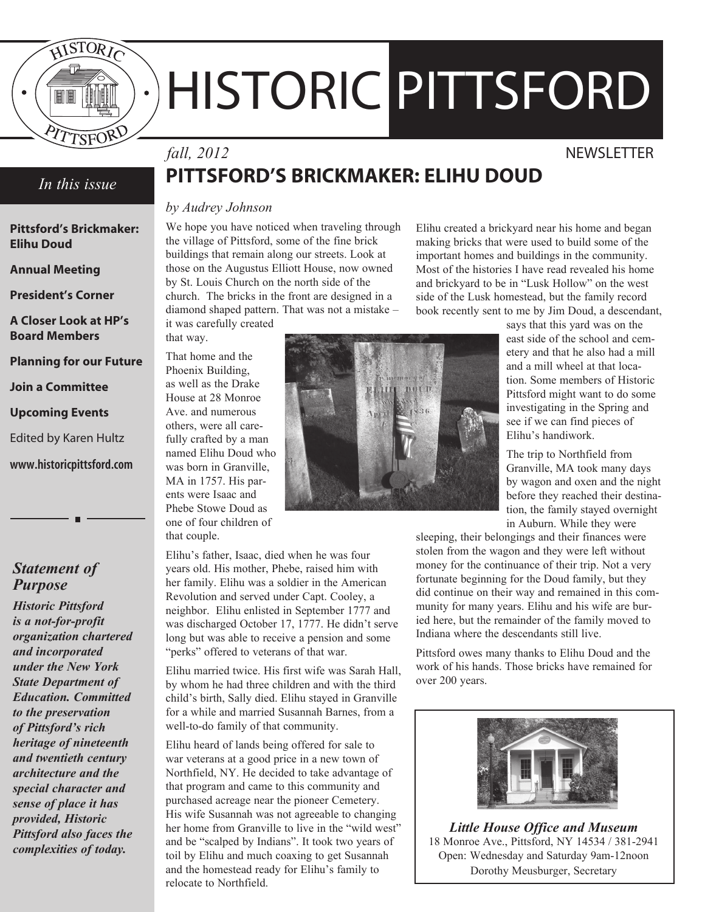

# HISTORIC PITTSFORD

#### *In this issue*

**Pittsford's Brickmaker: Elihu Doud**

**Annual Meeting**

**President's Corner**

**A Closer Look at HP's Board Members**

**Planning for our Future**

**Join a Committee**

**Upcoming Events**

Edited by Karen Hultz

**www.historicpittsford.com**

#### *Statement of Purpose*

*Historic Pittsford is a not-for-profit organization chartered and incorporated under the New York State Department of Education. Committed to the preservation of Pittsford's rich heritage of nineteenth and twentieth century architecture and the special character and sense of place it has provided, Historic Pittsford also faces the complexities of today.*

## *fall, 2012* NEWSLETTER

# **PITTSFORD'S BRICKMAKER: ELIHU DOUD**

#### *by Audrey Johnson*

We hope you have noticed when traveling through the village of Pittsford, some of the fine brick buildings that remain along our streets. Look at those on the Augustus Elliott House, now owned by St. Louis Church on the north side of the church. The bricks in the front are designed in a diamond shaped pattern. That was not a mistake – it was carefully created

that way. That home and the Phoenix Building, as well as the Drake House at 28 Monroe Ave. and numerous others, were all carefully crafted by a man named Elihu Doud who was born in Granville, MA in 1757. His parents were Isaac and Phebe Stowe Doud as one of four children of

that couple. Elihu's father, Isaac, died when he was four years old. His mother, Phebe, raised him with her family. Elihu was a soldier in the American Revolution and served under Capt. Cooley, a neighbor. Elihu enlisted in September 1777 and was discharged October 17, 1777. He didn't serve long but was able to receive a pension and some "perks" offered to veterans of that war.

Elihu married twice. His first wife was Sarah Hall, by whom he had three children and with the third child's birth, Sally died. Elihu stayed in Granville for a while and married Susannah Barnes, from a well-to-do family of that community.

Elihu heard of lands being offered for sale to war veterans at a good price in a new town of Northfield, NY. He decided to take advantage of that program and came to this community and purchased acreage near the pioneer Cemetery. His wife Susannah was not agreeable to changing her home from Granville to live in the "wild west" and be "scalped by Indians". It took two years of toil by Elihu and much coaxing to get Susannah and the homestead ready for Elihu's family to relocate to Northfield.

Elihu created a brickyard near his home and began making bricks that were used to build some of the important homes and buildings in the community. Most of the histories I have read revealed his home and brickyard to be in "Lusk Hollow" on the west side of the Lusk homestead, but the family record book recently sent to me by Jim Doud, a descendant,

says that this yard was on the east side of the school and cemetery and that he also had a mill and a mill wheel at that location. Some members of Historic Pittsford might want to do some investigating in the Spring and see if we can find pieces of Elihu's handiwork.

The trip to Northfield from Granville, MA took many days by wagon and oxen and the night before they reached their destination, the family stayed overnight in Auburn. While they were

sleeping, their belongings and their finances were stolen from the wagon and they were left without money for the continuance of their trip. Not a very fortunate beginning for the Doud family, but they did continue on their way and remained in this community for many years. Elihu and his wife are buried here, but the remainder of the family moved to Indiana where the descendants still live.

Pittsford owes many thanks to Elihu Doud and the work of his hands. Those bricks have remained for over 200 years.



*Little House Office and Museum* 18 Monroe Ave., Pittsford, NY 14534 / 381-2941 Open: Wednesday and Saturday 9am-12noon Dorothy Meusburger, Secretary

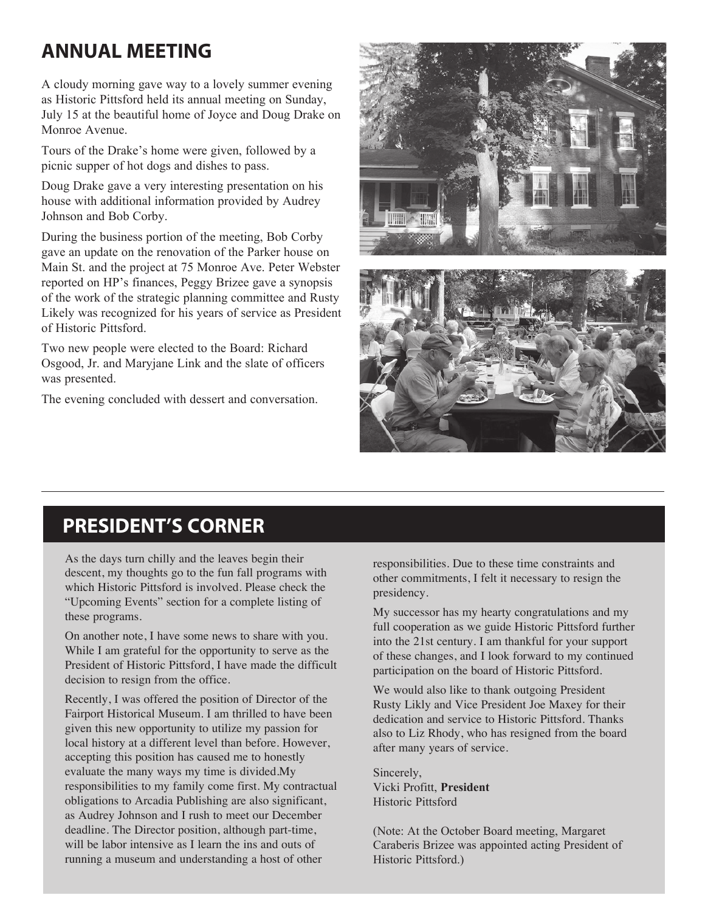# **ANNUAL MEETING**

A cloudy morning gave way to a lovely summer evening as Historic Pittsford held its annual meeting on Sunday, July 15 at the beautiful home of Joyce and Doug Drake on Monroe Avenue.

Tours of the Drake's home were given, followed by a picnic supper of hot dogs and dishes to pass.

Doug Drake gave a very interesting presentation on his house with additional information provided by Audrey Johnson and Bob Corby.

During the business portion of the meeting, Bob Corby gave an update on the renovation of the Parker house on Main St. and the project at 75 Monroe Ave. Peter Webster reported on HP's finances, Peggy Brizee gave a synopsis of the work of the strategic planning committee and Rusty Likely was recognized for his years of service as President of Historic Pittsford.

Two new people were elected to the Board: Richard Osgood, Jr. and Maryjane Link and the slate of officers was presented.

The evening concluded with dessert and conversation.





## **PRESIDENT'S CORNER**

As the days turn chilly and the leaves begin their descent, my thoughts go to the fun fall programs with which Historic Pittsford is involved. Please check the "Upcoming Events" section for a complete listing of these programs.

On another note, I have some news to share with you. While I am grateful for the opportunity to serve as the President of Historic Pittsford, I have made the difficult decision to resign from the office.

Recently, I was offered the position of Director of the Fairport Historical Museum. I am thrilled to have been given this new opportunity to utilize my passion for local history at a different level than before. However, accepting this position has caused me to honestly evaluate the many ways my time is divided.My responsibilities to my family come first. My contractual obligations to Arcadia Publishing are also significant, as Audrey Johnson and I rush to meet our December deadline. The Director position, although part-time, will be labor intensive as I learn the ins and outs of running a museum and understanding a host of other

responsibilities. Due to these time constraints and other commitments, I felt it necessary to resign the presidency.

My successor has my hearty congratulations and my full cooperation as we guide Historic Pittsford further into the 21st century. I am thankful for your support of these changes, and I look forward to my continued participation on the board of Historic Pittsford.

We would also like to thank outgoing President Rusty Likly and Vice President Joe Maxey for their dedication and service to Historic Pittsford. Thanks also to Liz Rhody, who has resigned from the board after many years of service.

Sincerely, Vicki Profitt, **President** Historic Pittsford

(Note: At the October Board meeting, Margaret Caraberis Brizee was appointed acting President of Historic Pittsford.)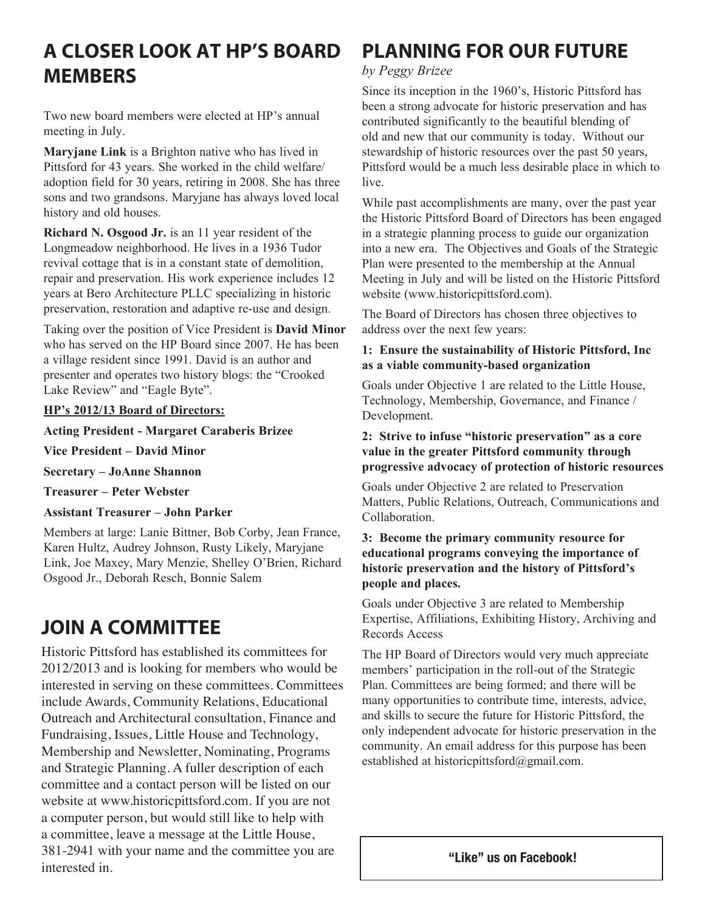# **A CLOSER LOOK AT HP'S BOARD MEMBERS**

Two new board members were elected at HP's annual meeting in July.

**Maryjane Link** is a Brighton native who has lived in Pittsford for 43 years. She worked in the child welfare/ adoption field for 30 years, retiring in 2008. She has three sons and two grandsons. Maryjane has always loved local history and old houses.

**Richard N. Osgood Jr.** is an 11 year resident of the Longmeadow neighborhood. He lives in a 1936 Tudor revival cottage that is in a constant state of demolition, repair and preservation. His work experience includes 12 years at Bero Architecture PLLC specializing in historic preservation, restoration and adaptive re-use and design.

Taking over the position of Vice President is **David Minor** who has served on the HP Board since 2007. He has been a village resident since 1991. David is an author and presenter and operates two history blogs: the "Crooked Lake Review" and "Eagle Byte".

#### **HP's 2012/13 Board of Directors:**

**Acting President - Margaret Caraberis Brizee**

**Vice President – David Minor**

**Secretary – JoAnne Shannon**

**Treasurer – Peter Webster**

**Assistant Treasurer – John Parker**

Members at large: Lanie Bittner, Bob Corby, Jean France, Karen Hultz, Audrey Johnson, Rusty Likely, Maryjane Link, Joe Maxey, Mary Menzie, Shelley O'Brien, Richard Osgood Jr., Deborah Resch, Bonnie Salem

## **JOIN A COMMITTEE**

Historic Pittsford has established its committees for 2012/2013 and is looking for members who would be interested in serving on these committees. Committees include Awards, Community Relations, Educational Outreach and Architectural consultation, Finance and Fundraising, Issues, Little House and Technology, Membership and Newsletter, Nominating, Programs and Strategic Planning. A fuller description of each committee and a contact person will be listed on our website at www.historicpittsford.com. If you are not a computer person, but would still like to help with a committee, leave a message at the Little House, 381-2941 with your name and the committee you are interested in.

# **PLANNING FOR OUR FUTURE**

#### *by Peggy Brizee*

Since its inception in the 1960's, Historic Pittsford has been a strong advocate for historic preservation and has contributed significantly to the beautiful blending of old and new that our community is today. Without our stewardship of historic resources over the past 50 years, Pittsford would be a much less desirable place in which to live.

While past accomplishments are many, over the past year the Historic Pittsford Board of Directors has been engaged in a strategic planning process to guide our organization into a new era. The Objectives and Goals of the Strategic Plan were presented to the membership at the Annual Meeting in July and will be listed on the Historic Pittsford website (www.historicpittsford.com).

The Board of Directors has chosen three objectives to address over the next few years:

#### **1: Ensure the sustainability of Historic Pittsford, Inc as a viable community-based organization**

Goals under Objective 1 are related to the Little House, Technology, Membership, Governance, and Finance / Development.

#### **2: Strive to infuse "historic preservation" as a core value in the greater Pittsford community through progressive advocacy of protection of historic resources**

Goals under Objective 2 are related to Preservation Matters, Public Relations, Outreach, Communications and Collaboration.

#### **3: Become the primary community resource for educational programs conveying the importance of historic preservation and the history of Pittsford's people and places.**

Goals under Objective 3 are related to Membership Expertise, Affiliations, Exhibiting History, Archiving and Records Access

The HP Board of Directors would very much appreciate members' participation in the roll-out of the Strategic Plan. Committees are being formed; and there will be many opportunities to contribute time, interests, advice, and skills to secure the future for Historic Pittsford, the only independent advocate for historic preservation in the community. An email address for this purpose has been established at historicpittsford@gmail.com.

**"Like" us on Facebook!**